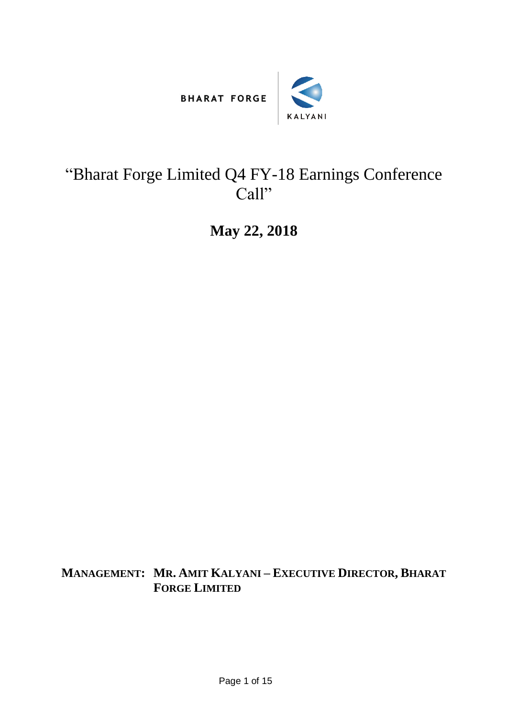



## "Bharat Forge Limited Q4 FY-18 Earnings Conference Call"

**May 22, 2018**

**MANAGEMENT: MR. AMIT KALYANI – EXECUTIVE DIRECTOR, BHARAT FORGE LIMITED**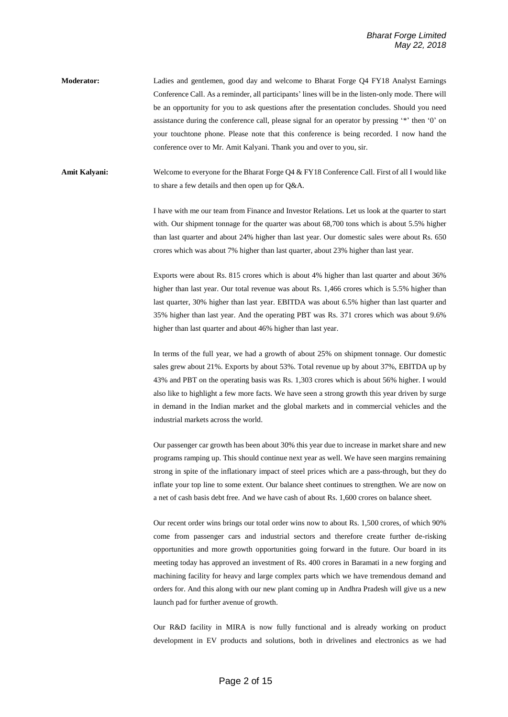**Moderator:** Ladies and gentlemen, good day and welcome to Bharat Forge Q4 FY18 Analyst Earnings Conference Call. As a reminder, all participants' lines will be in the listen-only mode. There will be an opportunity for you to ask questions after the presentation concludes. Should you need assistance during the conference call, please signal for an operator by pressing '\*' then '0' on your touchtone phone. Please note that this conference is being recorded. I now hand the conference over to Mr. Amit Kalyani. Thank you and over to you, sir.

**Amit Kalyani:** Welcome to everyone for the Bharat Forge Q4 & FY18 Conference Call. First of all I would like to share a few details and then open up for Q&A.

> I have with me our team from Finance and Investor Relations. Let us look at the quarter to start with. Our shipment tonnage for the quarter was about 68,700 tons which is about 5.5% higher than last quarter and about 24% higher than last year. Our domestic sales were about Rs. 650 crores which was about 7% higher than last quarter, about 23% higher than last year.

> Exports were about Rs. 815 crores which is about 4% higher than last quarter and about 36% higher than last year. Our total revenue was about Rs. 1,466 crores which is 5.5% higher than last quarter, 30% higher than last year. EBITDA was about 6.5% higher than last quarter and 35% higher than last year. And the operating PBT was Rs. 371 crores which was about 9.6% higher than last quarter and about 46% higher than last year.

> In terms of the full year, we had a growth of about 25% on shipment tonnage. Our domestic sales grew about 21%. Exports by about 53%. Total revenue up by about 37%, EBITDA up by 43% and PBT on the operating basis was Rs. 1,303 crores which is about 56% higher. I would also like to highlight a few more facts. We have seen a strong growth this year driven by surge in demand in the Indian market and the global markets and in commercial vehicles and the industrial markets across the world.

> Our passenger car growth has been about 30% this year due to increase in market share and new programs ramping up. This should continue next year as well. We have seen margins remaining strong in spite of the inflationary impact of steel prices which are a pass-through, but they do inflate your top line to some extent. Our balance sheet continues to strengthen. We are now on a net of cash basis debt free. And we have cash of about Rs. 1,600 crores on balance sheet.

> Our recent order wins brings our total order wins now to about Rs. 1,500 crores, of which 90% come from passenger cars and industrial sectors and therefore create further de-risking opportunities and more growth opportunities going forward in the future. Our board in its meeting today has approved an investment of Rs. 400 crores in Baramati in a new forging and machining facility for heavy and large complex parts which we have tremendous demand and orders for. And this along with our new plant coming up in Andhra Pradesh will give us a new launch pad for further avenue of growth.

> Our R&D facility in MIRA is now fully functional and is already working on product development in EV products and solutions, both in drivelines and electronics as we had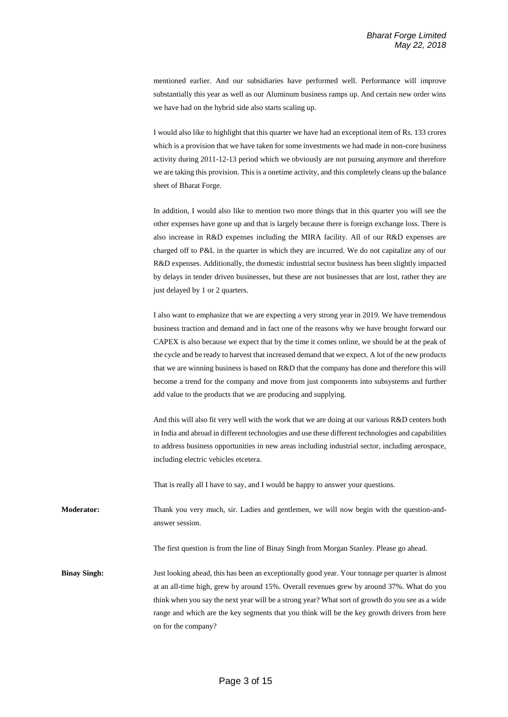mentioned earlier. And our subsidiaries have performed well. Performance will improve substantially this year as well as our Aluminum business ramps up. And certain new order wins we have had on the hybrid side also starts scaling up.

I would also like to highlight that this quarter we have had an exceptional item of Rs. 133 crores which is a provision that we have taken for some investments we had made in non-core business activity during 2011-12-13 period which we obviously are not pursuing anymore and therefore we are taking this provision. This is a onetime activity, and this completely cleans up the balance sheet of Bharat Forge.

In addition, I would also like to mention two more things that in this quarter you will see the other expenses have gone up and that is largely because there is foreign exchange loss. There is also increase in R&D expenses including the MIRA facility. All of our R&D expenses are charged off to P&L in the quarter in which they are incurred. We do not capitalize any of our R&D expenses. Additionally, the domestic industrial sector business has been slightly impacted by delays in tender driven businesses, but these are not businesses that are lost, rather they are just delayed by 1 or 2 quarters.

I also want to emphasize that we are expecting a very strong year in 2019. We have tremendous business traction and demand and in fact one of the reasons why we have brought forward our CAPEX is also because we expect that by the time it comes online, we should be at the peak of the cycle and be ready to harvest that increased demand that we expect. A lot of the new products that we are winning business is based on R&D that the company has done and therefore this will become a trend for the company and move from just components into subsystems and further add value to the products that we are producing and supplying.

And this will also fit very well with the work that we are doing at our various R&D centers both in India and abroad in different technologies and use these different technologies and capabilities to address business opportunities in new areas including industrial sector, including aerospace, including electric vehicles etcetera.

That is really all I have to say, and I would be happy to answer your questions.

**Moderator:** Thank you very much, sir. Ladies and gentlemen, we will now begin with the question-andanswer session.

The first question is from the line of Binay Singh from Morgan Stanley. Please go ahead.

**Binay Singh:** Just looking ahead, this has been an exceptionally good year. Your tonnage per quarter is almost at an all-time high, grew by around 15%. Overall revenues grew by around 37%. What do you think when you say the next year will be a strong year? What sort of growth do you see as a wide range and which are the key segments that you think will be the key growth drivers from here on for the company?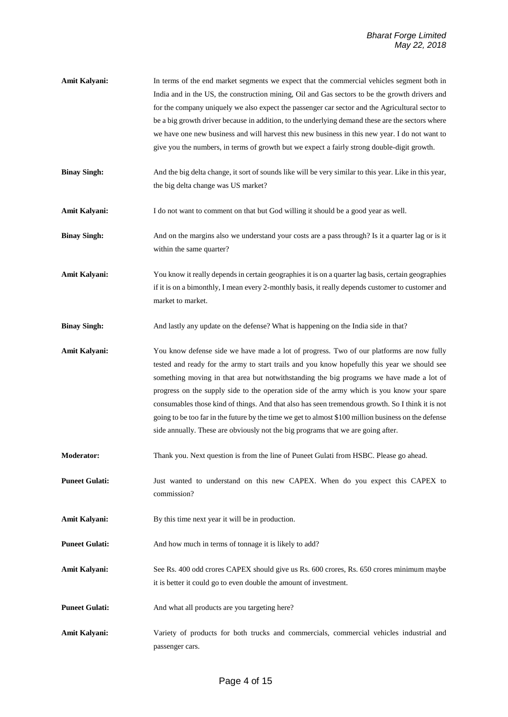- **Amit Kalyani:** In terms of the end market segments we expect that the commercial vehicles segment both in India and in the US, the construction mining, Oil and Gas sectors to be the growth drivers and for the company uniquely we also expect the passenger car sector and the Agricultural sector to be a big growth driver because in addition, to the underlying demand these are the sectors where we have one new business and will harvest this new business in this new year. I do not want to give you the numbers, in terms of growth but we expect a fairly strong double-digit growth.
- **Binay Singh:** And the big delta change, it sort of sounds like will be very similar to this year. Like in this year, the big delta change was US market?
- **Amit Kalyani:** I do not want to comment on that but God willing it should be a good year as well.
- **Binay Singh:** And on the margins also we understand your costs are a pass through? Is it a quarter lag or is it within the same quarter?
- **Amit Kalyani:** You know it really depends in certain geographies it is on a quarter lag basis, certain geographies if it is on a bimonthly, I mean every 2-monthly basis, it really depends customer to customer and market to market.
- **Binay Singh:** And lastly any update on the defense? What is happening on the India side in that?

Amit Kalyani: You know defense side we have made a lot of progress. Two of our platforms are now fully tested and ready for the army to start trails and you know hopefully this year we should see something moving in that area but notwithstanding the big programs we have made a lot of progress on the supply side to the operation side of the army which is you know your spare consumables those kind of things. And that also has seen tremendous growth. So I think it is not going to be too far in the future by the time we get to almost \$100 million business on the defense side annually. These are obviously not the big programs that we are going after.

- **Moderator:** Thank you. Next question is from the line of Puneet Gulati from HSBC. Please go ahead.
- **Puneet Gulati:** Just wanted to understand on this new CAPEX. When do you expect this CAPEX to commission?
- Amit Kalyani: By this time next year it will be in production.
- **Puneet Gulati:** And how much in terms of tonnage it is likely to add?
- **Amit Kalyani:** See Rs. 400 odd crores CAPEX should give us Rs. 600 crores, Rs. 650 crores minimum maybe it is better it could go to even double the amount of investment.
- **Puneet Gulati:** And what all products are you targeting here?
- Amit Kalyani: Variety of products for both trucks and commercials, commercial vehicles industrial and passenger cars.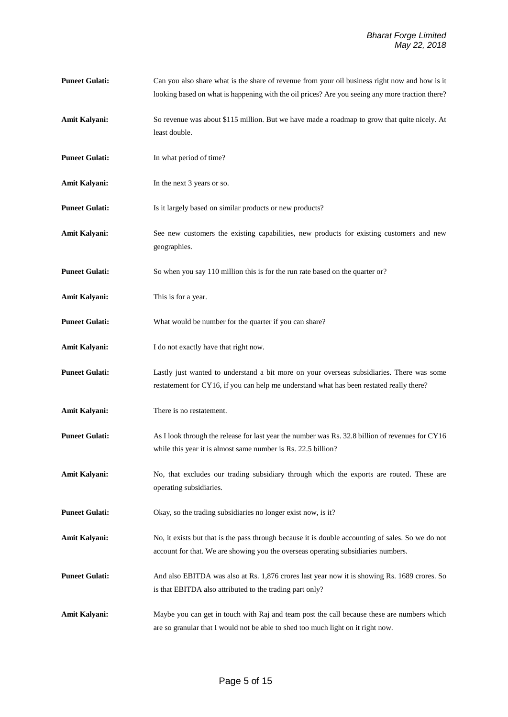**Puneet Gulati:** Can you also share what is the share of revenue from your oil business right now and how is it looking based on what is happening with the oil prices? Are you seeing any more traction there? **Amit Kalyani:** So revenue was about \$115 million. But we have made a roadmap to grow that quite nicely. At least double. **Puneet Gulati:** In what period of time? Amit Kalyani: In the next 3 years or so. **Puneet Gulati:** Is it largely based on similar products or new products? **Amit Kalyani:** See new customers the existing capabilities, new products for existing customers and new geographies. **Puneet Gulati:** So when you say 110 million this is for the run rate based on the quarter or? **Amit Kalyani:** This is for a year. **Puneet Gulati:** What would be number for the quarter if you can share? Amit Kalyani: I do not exactly have that right now. **Puneet Gulati:** Lastly just wanted to understand a bit more on your overseas subsidiaries. There was some restatement for CY16, if you can help me understand what has been restated really there? **Amit Kalyani:** There is no restatement. **Puneet Gulati:** As I look through the release for last year the number was Rs. 32.8 billion of revenues for CY16 while this year it is almost same number is Rs. 22.5 billion? Amit Kalyani: No, that excludes our trading subsidiary through which the exports are routed. These are operating subsidiaries. **Puneet Gulati:** Okay, so the trading subsidiaries no longer exist now, is it? **Amit Kalyani:** No, it exists but that is the pass through because it is double accounting of sales. So we do not account for that. We are showing you the overseas operating subsidiaries numbers. **Puneet Gulati:** And also EBITDA was also at Rs. 1,876 crores last year now it is showing Rs. 1689 crores. So is that EBITDA also attributed to the trading part only? Amit Kalyani: Maybe you can get in touch with Raj and team post the call because these are numbers which are so granular that I would not be able to shed too much light on it right now.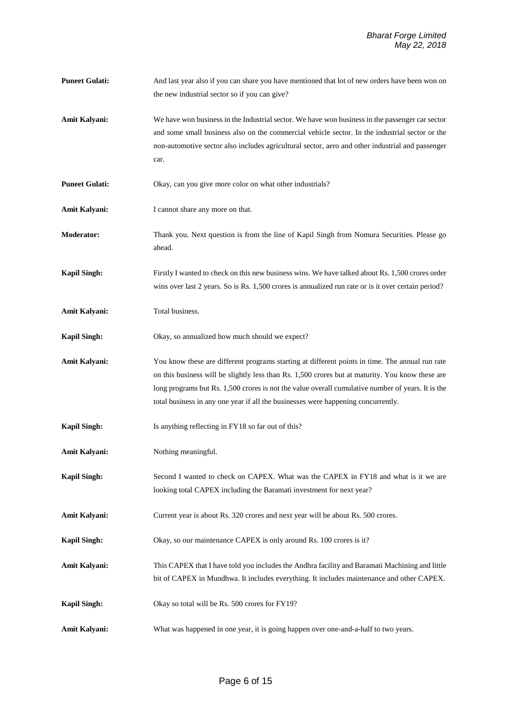- **Puneet Gulati:** And last year also if you can share you have mentioned that lot of new orders have been won on the new industrial sector so if you can give?
- **Amit Kalyani:** We have won business in the Industrial sector. We have won business in the passenger car sector and some small business also on the commercial vehicle sector. In the industrial sector or the non-automotive sector also includes agricultural sector, aero and other industrial and passenger car.
- **Puneet Gulati:** Okay, can you give more color on what other industrials?
- Amit Kalyani: I cannot share any more on that.
- **Moderator:** Thank you. Next question is from the line of Kapil Singh from Nomura Securities. Please go ahead.
- **Kapil Singh:** Firstly I wanted to check on this new business wins. We have talked about Rs. 1,500 crores order wins over last 2 years. So is Rs. 1,500 crores is annualized run rate or is it over certain period?
- **Amit Kalyani:** Total business.
- **Kapil Singh:** Okay, so annualized how much should we expect?
- **Amit Kalyani:** You know these are different programs starting at different points in time. The annual run rate on this business will be slightly less than Rs. 1,500 crores but at maturity. You know these are long programs but Rs. 1,500 crores is not the value overall cumulative number of years. It is the total business in any one year if all the businesses were happening concurrently.
- **Kapil Singh:** Is anything reflecting in FY18 so far out of this?
- **Amit Kalyani:** Nothing meaningful.
- **Kapil Singh:** Second I wanted to check on CAPEX. What was the CAPEX in FY18 and what is it we are looking total CAPEX including the Baramati investment for next year?
- Amit Kalyani: Current year is about Rs. 320 crores and next year will be about Rs. 500 crores.
- **Kapil Singh:** Okay, so our maintenance CAPEX is only around Rs. 100 crores is it?
- **Amit Kalyani:** This CAPEX that I have told you includes the Andhra facility and Baramati Machining and little bit of CAPEX in Mundhwa. It includes everything. It includes maintenance and other CAPEX.
- **Kapil Singh:** Okay so total will be Rs. 500 crores for FY19?
- **Amit Kalyani:** What was happened in one year, it is going happen over one-and-a-half to two years.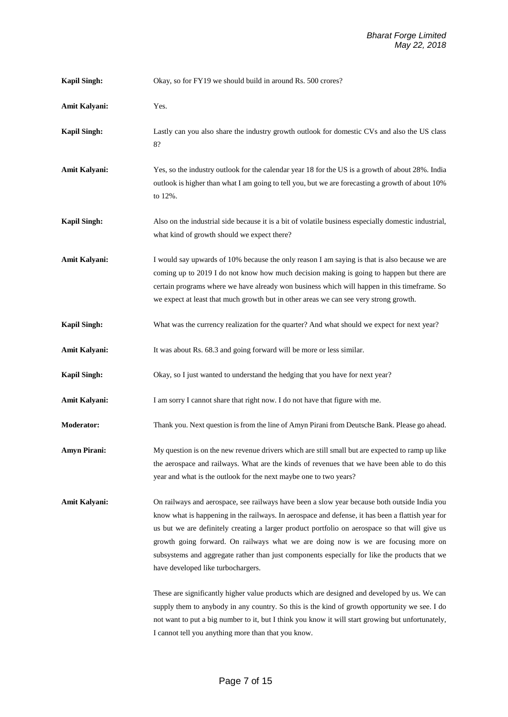| <b>Kapil Singh:</b> | Okay, so for FY19 we should build in around Rs. 500 crores?                                                                                                                                                                                                                                                                                                                                                                                                                                                                      |
|---------------------|----------------------------------------------------------------------------------------------------------------------------------------------------------------------------------------------------------------------------------------------------------------------------------------------------------------------------------------------------------------------------------------------------------------------------------------------------------------------------------------------------------------------------------|
| Amit Kalyani:       | Yes.                                                                                                                                                                                                                                                                                                                                                                                                                                                                                                                             |
| <b>Kapil Singh:</b> | Lastly can you also share the industry growth outlook for domestic CVs and also the US class<br>8?                                                                                                                                                                                                                                                                                                                                                                                                                               |
| Amit Kalyani:       | Yes, so the industry outlook for the calendar year 18 for the US is a growth of about 28%. India<br>outlook is higher than what I am going to tell you, but we are forecasting a growth of about 10%<br>to 12%.                                                                                                                                                                                                                                                                                                                  |
| <b>Kapil Singh:</b> | Also on the industrial side because it is a bit of volatile business especially domestic industrial,<br>what kind of growth should we expect there?                                                                                                                                                                                                                                                                                                                                                                              |
| Amit Kalyani:       | I would say upwards of 10% because the only reason I am saying is that is also because we are<br>coming up to 2019 I do not know how much decision making is going to happen but there are<br>certain programs where we have already won business which will happen in this timeframe. So<br>we expect at least that much growth but in other areas we can see very strong growth.                                                                                                                                               |
| <b>Kapil Singh:</b> | What was the currency realization for the quarter? And what should we expect for next year?                                                                                                                                                                                                                                                                                                                                                                                                                                      |
| Amit Kalyani:       | It was about Rs. 68.3 and going forward will be more or less similar.                                                                                                                                                                                                                                                                                                                                                                                                                                                            |
| <b>Kapil Singh:</b> | Okay, so I just wanted to understand the hedging that you have for next year?                                                                                                                                                                                                                                                                                                                                                                                                                                                    |
| Amit Kalyani:       | I am sorry I cannot share that right now. I do not have that figure with me.                                                                                                                                                                                                                                                                                                                                                                                                                                                     |
| <b>Moderator:</b>   | Thank you. Next question is from the line of Amyn Pirani from Deutsche Bank. Please go ahead.                                                                                                                                                                                                                                                                                                                                                                                                                                    |
| <b>Amyn Pirani:</b> | My question is on the new revenue drivers which are still small but are expected to ramp up like<br>the aerospace and railways. What are the kinds of revenues that we have been able to do this<br>year and what is the outlook for the next maybe one to two years?                                                                                                                                                                                                                                                            |
| Amit Kalyani:       | On railways and aerospace, see railways have been a slow year because both outside India you<br>know what is happening in the railways. In aerospace and defense, it has been a flattish year for<br>us but we are definitely creating a larger product portfolio on aerospace so that will give us<br>growth going forward. On railways what we are doing now is we are focusing more on<br>subsystems and aggregate rather than just components especially for like the products that we<br>have developed like turbochargers. |
|                     | These are significantly higher value products which are designed and developed by us. We can<br>supply them to anybody in any country. So this is the kind of growth opportunity we see. I do<br>not want to put a big number to it, but I think you know it will start growing but unfortunately,<br>I cannot tell you anything more than that you know.                                                                                                                                                                        |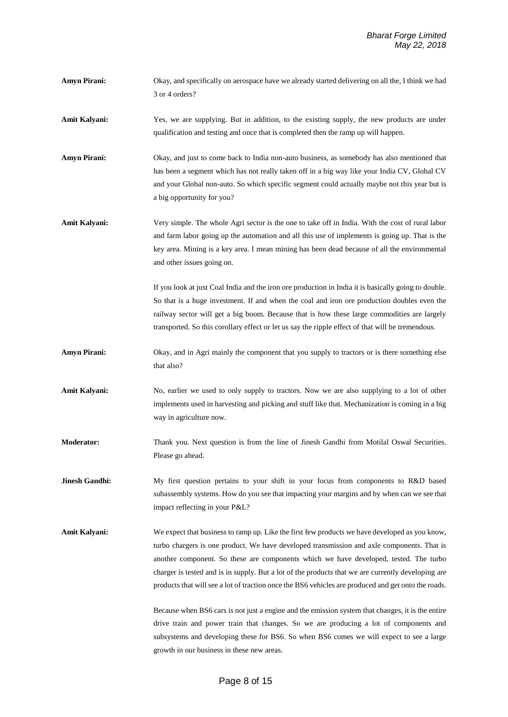- **Amyn Pirani:** Okay, and specifically on aerospace have we already started delivering on all the, I think we had 3 or 4 orders?
- Amit Kalyani: Yes, we are supplying. But in addition, to the existing supply, the new products are under qualification and testing and once that is completed then the ramp up will happen.

**Amyn Pirani:** Okay, and just to come back to India non-auto business, as somebody has also mentioned that has been a segment which has not really taken off in a big way like your India CV, Global CV and your Global non-auto. So which specific segment could actually maybe not this year but is a big opportunity for you?

**Amit Kalyani:** Very simple. The whole Agri sector is the one to take off in India. With the cost of rural labor and farm labor going up the automation and all this use of implements is going up. That is the key area. Mining is a key area. I mean mining has been dead because of all the environmental and other issues going on.

> If you look at just Coal India and the iron ore production in India it is basically going to double. So that is a huge investment. If and when the coal and iron ore production doubles even the railway sector will get a big boom. Because that is how these large commodities are largely transported. So this corollary effect or let us say the ripple effect of that will be tremendous.

- **Amyn Pirani:** Okay, and in Agri mainly the component that you supply to tractors or is there something else that also?
- Amit Kalyani: No, earlier we used to only supply to tractors. Now we are also supplying to a lot of other implements used in harvesting and picking and stuff like that. Mechanization is coming in a big way in agriculture now.
- **Moderator:** Thank you. Next question is from the line of Jinesh Gandhi from Motilal Oswal Securities. Please go ahead.

**Jinesh Gandhi:** My first question pertains to your shift in your focus from components to R&D based subassembly systems. How do you see that impacting your margins and by when can we see that impact reflecting in your P&L?

**Amit Kalyani:** We expect that business to ramp up. Like the first few products we have developed as you know, turbo chargers is one product. We have developed transmission and axle components. That is another component. So these are components which we have developed, tested. The turbo charger is tested and is in supply. But a lot of the products that we are currently developing are products that will see a lot of traction once the BS6 vehicles are produced and get onto the roads.

> Because when BS6 cars is not just a engine and the emission system that changes, it is the entire drive train and power train that changes. So we are producing a lot of components and subsystems and developing these for BS6. So when BS6 comes we will expect to see a large growth in our business in these new areas.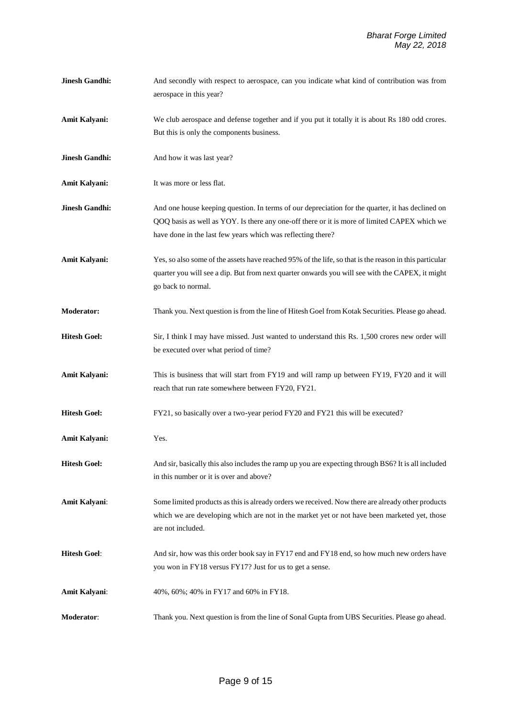| <b>Jinesh Gandhi:</b> | And secondly with respect to aerospace, can you indicate what kind of contribution was from<br>aerospace in this year?                                                                                                                                          |
|-----------------------|-----------------------------------------------------------------------------------------------------------------------------------------------------------------------------------------------------------------------------------------------------------------|
| Amit Kalyani:         | We club aerospace and defense together and if you put it totally it is about Rs 180 odd crores.<br>But this is only the components business.                                                                                                                    |
| <b>Jinesh Gandhi:</b> | And how it was last year?                                                                                                                                                                                                                                       |
| Amit Kalyani:         | It was more or less flat.                                                                                                                                                                                                                                       |
| <b>Jinesh Gandhi:</b> | And one house keeping question. In terms of our depreciation for the quarter, it has declined on<br>QOQ basis as well as YOY. Is there any one-off there or it is more of limited CAPEX which we<br>have done in the last few years which was reflecting there? |
| Amit Kalyani:         | Yes, so also some of the assets have reached 95% of the life, so that is the reason in this particular<br>quarter you will see a dip. But from next quarter onwards you will see with the CAPEX, it might<br>go back to normal.                                 |
| Moderator:            | Thank you. Next question is from the line of Hitesh Goel from Kotak Securities. Please go ahead.                                                                                                                                                                |
| <b>Hitesh Goel:</b>   | Sir, I think I may have missed. Just wanted to understand this Rs. 1,500 crores new order will<br>be executed over what period of time?                                                                                                                         |
| Amit Kalyani:         | This is business that will start from FY19 and will ramp up between FY19, FY20 and it will<br>reach that run rate somewhere between FY20, FY21.                                                                                                                 |
| <b>Hitesh Goel:</b>   | FY21, so basically over a two-year period FY20 and FY21 this will be executed?                                                                                                                                                                                  |
| Amit Kalyani:         | Yes.                                                                                                                                                                                                                                                            |
| <b>Hitesh Goel:</b>   | And sir, basically this also includes the ramp up you are expecting through BS6? It is all included<br>in this number or it is over and above?                                                                                                                  |
| Amit Kalyani:         | Some limited products as this is already orders we received. Now there are already other products<br>which we are developing which are not in the market yet or not have been marketed yet, those<br>are not included.                                          |
| <b>Hitesh Goel:</b>   | And sir, how was this order book say in FY17 end and FY18 end, so how much new orders have<br>you won in FY18 versus FY17? Just for us to get a sense.                                                                                                          |
| Amit Kalyani:         | 40%, 60%; 40% in FY17 and 60% in FY18.                                                                                                                                                                                                                          |
| Moderator:            | Thank you. Next question is from the line of Sonal Gupta from UBS Securities. Please go ahead.                                                                                                                                                                  |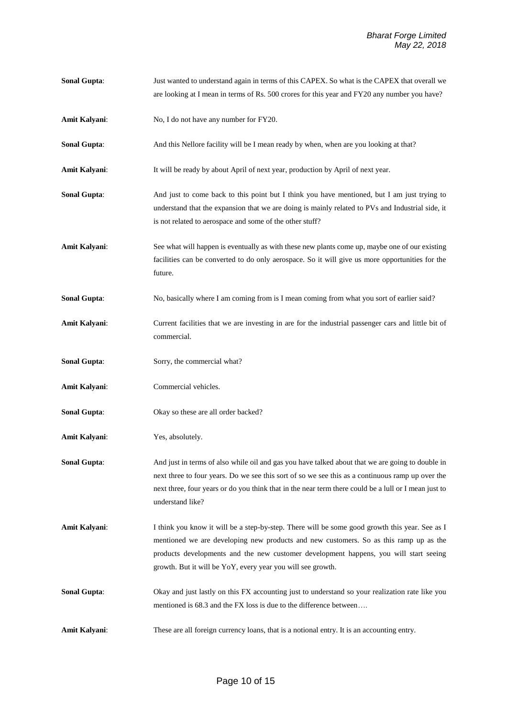**Sonal Gupta:** Just wanted to understand again in terms of this CAPEX. So what is the CAPEX that overall we are looking at I mean in terms of Rs. 500 crores for this year and FY20 any number you have? **Amit Kalyani:** No, I do not have any number for FY20. **Sonal Gupta:** And this Nellore facility will be I mean ready by when, when are you looking at that? **Amit Kalyani**: It will be ready by about April of next year, production by April of next year. **Sonal Gupta**: And just to come back to this point but I think you have mentioned, but I am just trying to understand that the expansion that we are doing is mainly related to PVs and Industrial side, it is not related to aerospace and some of the other stuff? **Amit Kalyani**: See what will happen is eventually as with these new plants come up, maybe one of our existing facilities can be converted to do only aerospace. So it will give us more opportunities for the future. **Sonal Gupta:** No, basically where I am coming from is I mean coming from what you sort of earlier said? **Amit Kalyani**: Current facilities that we are investing in are for the industrial passenger cars and little bit of commercial. **Sonal Gupta:** Sorry, the commercial what? **Amit Kalyani**: Commercial vehicles. **Sonal Gupta**: Okay so these are all order backed? **Amit Kalyani**: Yes, absolutely. **Sonal Gupta:** And just in terms of also while oil and gas you have talked about that we are going to double in next three to four years. Do we see this sort of so we see this as a continuous ramp up over the next three, four years or do you think that in the near term there could be a lull or I mean just to understand like? **Amit Kalyani**: I think you know it will be a step-by-step. There will be some good growth this year. See as I mentioned we are developing new products and new customers. So as this ramp up as the products developments and the new customer development happens, you will start seeing growth. But it will be YoY, every year you will see growth. **Sonal Gupta:** Okay and just lastly on this FX accounting just to understand so your realization rate like you mentioned is 68.3 and the FX loss is due to the difference between…. **Amit Kalyani:** These are all foreign currency loans, that is a notional entry. It is an accounting entry.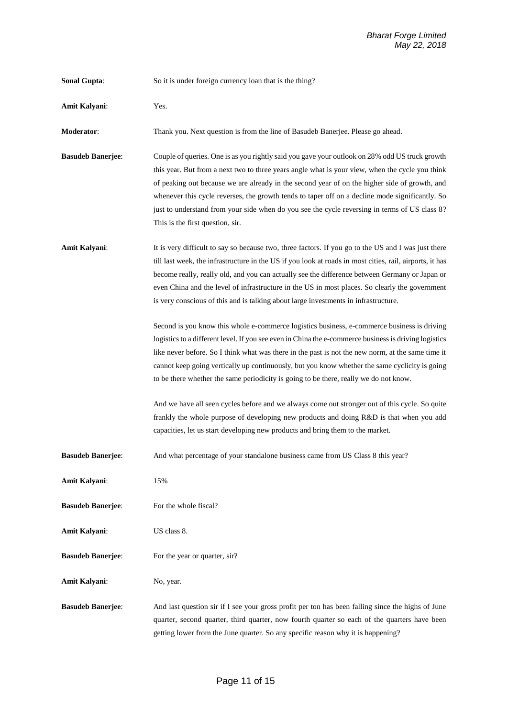| Sonal Gupta:             | So it is under foreign currency loan that is the thing?                                                                                                                                                                                                                                                                                                                                                                                                                                                                                                                                                                                                                                                                                                                                                                                                                                                                                                                                                                                                                                                                                                                                                                                                                                           |
|--------------------------|---------------------------------------------------------------------------------------------------------------------------------------------------------------------------------------------------------------------------------------------------------------------------------------------------------------------------------------------------------------------------------------------------------------------------------------------------------------------------------------------------------------------------------------------------------------------------------------------------------------------------------------------------------------------------------------------------------------------------------------------------------------------------------------------------------------------------------------------------------------------------------------------------------------------------------------------------------------------------------------------------------------------------------------------------------------------------------------------------------------------------------------------------------------------------------------------------------------------------------------------------------------------------------------------------|
| Amit Kalyani:            | Yes.                                                                                                                                                                                                                                                                                                                                                                                                                                                                                                                                                                                                                                                                                                                                                                                                                                                                                                                                                                                                                                                                                                                                                                                                                                                                                              |
| <b>Moderator:</b>        | Thank you. Next question is from the line of Basudeb Banerjee. Please go ahead.                                                                                                                                                                                                                                                                                                                                                                                                                                                                                                                                                                                                                                                                                                                                                                                                                                                                                                                                                                                                                                                                                                                                                                                                                   |
| <b>Basudeb Banerjee:</b> | Couple of queries. One is as you rightly said you gave your outlook on 28% odd US truck growth<br>this year. But from a next two to three years angle what is your view, when the cycle you think<br>of peaking out because we are already in the second year of on the higher side of growth, and<br>whenever this cycle reverses, the growth tends to taper off on a decline mode significantly. So<br>just to understand from your side when do you see the cycle reversing in terms of US class 8?<br>This is the first question, sir.                                                                                                                                                                                                                                                                                                                                                                                                                                                                                                                                                                                                                                                                                                                                                        |
| Amit Kalyani:            | It is very difficult to say so because two, three factors. If you go to the US and I was just there<br>till last week, the infrastructure in the US if you look at roads in most cities, rail, airports, it has<br>become really, really old, and you can actually see the difference between Germany or Japan or<br>even China and the level of infrastructure in the US in most places. So clearly the government<br>is very conscious of this and is talking about large investments in infrastructure.<br>Second is you know this whole e-commerce logistics business, e-commerce business is driving<br>logistics to a different level. If you see even in China the e-commerce business is driving logistics<br>like never before. So I think what was there in the past is not the new norm, at the same time it<br>cannot keep going vertically up continuously, but you know whether the same cyclicity is going<br>to be there whether the same periodicity is going to be there, really we do not know.<br>And we have all seen cycles before and we always come out stronger out of this cycle. So quite<br>frankly the whole purpose of developing new products and doing R&D is that when you add<br>capacities, let us start developing new products and bring them to the market. |
| <b>Basudeb Banerjee:</b> | And what percentage of your standalone business came from US Class 8 this year?                                                                                                                                                                                                                                                                                                                                                                                                                                                                                                                                                                                                                                                                                                                                                                                                                                                                                                                                                                                                                                                                                                                                                                                                                   |
| Amit Kalyani:            | 15%                                                                                                                                                                                                                                                                                                                                                                                                                                                                                                                                                                                                                                                                                                                                                                                                                                                                                                                                                                                                                                                                                                                                                                                                                                                                                               |
| <b>Basudeb Banerjee:</b> | For the whole fiscal?                                                                                                                                                                                                                                                                                                                                                                                                                                                                                                                                                                                                                                                                                                                                                                                                                                                                                                                                                                                                                                                                                                                                                                                                                                                                             |
| <b>Amit Kalyani:</b>     | US class 8.                                                                                                                                                                                                                                                                                                                                                                                                                                                                                                                                                                                                                                                                                                                                                                                                                                                                                                                                                                                                                                                                                                                                                                                                                                                                                       |
| <b>Basudeb Banerjee:</b> | For the year or quarter, sir?                                                                                                                                                                                                                                                                                                                                                                                                                                                                                                                                                                                                                                                                                                                                                                                                                                                                                                                                                                                                                                                                                                                                                                                                                                                                     |
| <b>Amit Kalyani:</b>     | No, year.                                                                                                                                                                                                                                                                                                                                                                                                                                                                                                                                                                                                                                                                                                                                                                                                                                                                                                                                                                                                                                                                                                                                                                                                                                                                                         |
| <b>Basudeb Banerjee:</b> | And last question sir if I see your gross profit per ton has been falling since the highs of June<br>quarter, second quarter, third quarter, now fourth quarter so each of the quarters have been<br>getting lower from the June quarter. So any specific reason why it is happening?                                                                                                                                                                                                                                                                                                                                                                                                                                                                                                                                                                                                                                                                                                                                                                                                                                                                                                                                                                                                             |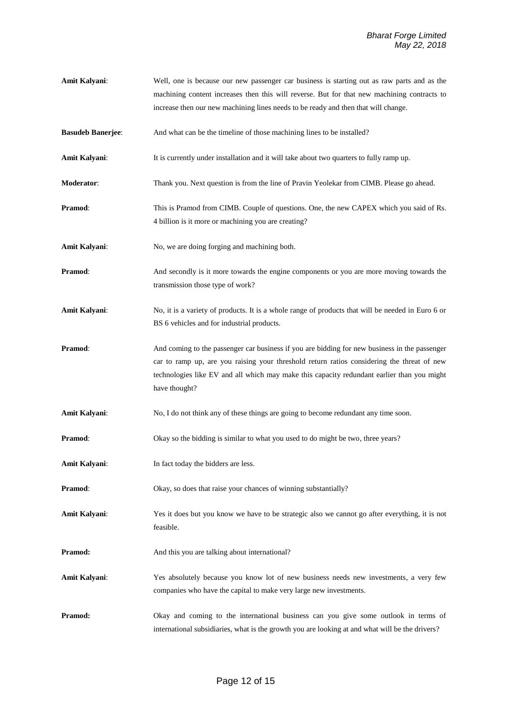- **Amit Kalyani**: Well, one is because our new passenger car business is starting out as raw parts and as the machining content increases then this will reverse. But for that new machining contracts to increase then our new machining lines needs to be ready and then that will change.
- **Basudeb Banerjee:** And what can be the timeline of those machining lines to be installed?
- **Amit Kalyani:** It is currently under installation and it will take about two quarters to fully ramp up.
- **Moderator**: Thank you. Next question is from the line of Pravin Yeolekar from CIMB. Please go ahead.
- **Pramod:** This is Pramod from CIMB. Couple of questions. One, the new CAPEX which you said of Rs. 4 billion is it more or machining you are creating?
- Amit Kalyani: No, we are doing forging and machining both.
- **Pramod:** And secondly is it more towards the engine components or you are more moving towards the transmission those type of work?
- **Amit Kalyani**: No, it is a variety of products. It is a whole range of products that will be needed in Euro 6 or BS 6 vehicles and for industrial products.
- **Pramod:** And coming to the passenger car business if you are bidding for new business in the passenger car to ramp up, are you raising your threshold return ratios considering the threat of new technologies like EV and all which may make this capacity redundant earlier than you might have thought?
- **Amit Kalyani**: No, I do not think any of these things are going to become redundant any time soon.
- **Pramod:** Okay so the bidding is similar to what you used to do might be two, three years?
- **Amit Kalyani**: In fact today the bidders are less.
- **Pramod:** Okay, so does that raise your chances of winning substantially?
- **Amit Kalyani**: Yes it does but you know we have to be strategic also we cannot go after everything, it is not feasible.
- **Pramod:** And this you are talking about international?
- **Amit Kalyani**: Yes absolutely because you know lot of new business needs new investments, a very few companies who have the capital to make very large new investments.
- **Pramod:** Okay and coming to the international business can you give some outlook in terms of international subsidiaries, what is the growth you are looking at and what will be the drivers?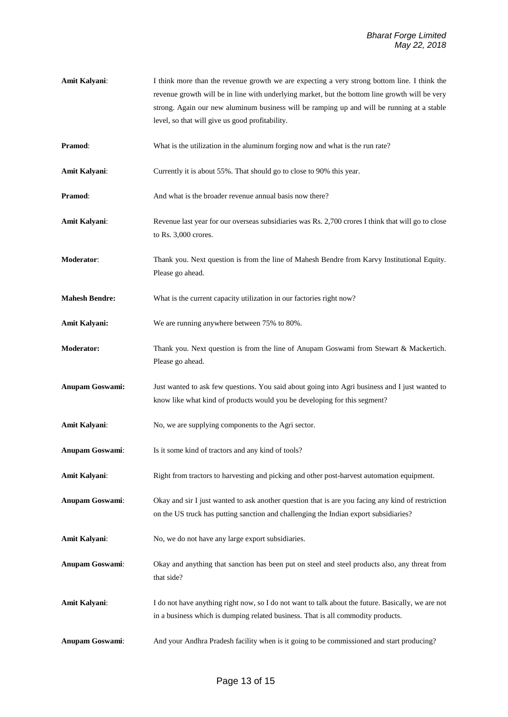**Amit Kalyani**: I think more than the revenue growth we are expecting a very strong bottom line. I think the revenue growth will be in line with underlying market, but the bottom line growth will be very strong. Again our new aluminum business will be ramping up and will be running at a stable level, so that will give us good profitability. **Pramod:** What is the utilization in the aluminum forging now and what is the run rate? Amit Kalyani: Currently it is about 55%. That should go to close to 90% this year. **Pramod:** And what is the broader revenue annual basis now there? **Amit Kalyani**: Revenue last year for our overseas subsidiaries was Rs. 2,700 crores I think that will go to close to Rs. 3,000 crores. **Moderator**: Thank you. Next question is from the line of Mahesh Bendre from Karvy Institutional Equity. Please go ahead. **Mahesh Bendre:** What is the current capacity utilization in our factories right now? **Amit Kalyani:** We are running anywhere between 75% to 80%. **Moderator:** Thank you. Next question is from the line of Anupam Goswami from Stewart & Mackertich. Please go ahead. **Anupam Goswami:** Just wanted to ask few questions. You said about going into Agri business and I just wanted to know like what kind of products would you be developing for this segment? **Amit Kalyani:** No, we are supplying components to the Agri sector. **Anupam Goswami**: Is it some kind of tractors and any kind of tools? **Amit Kalyani**: Right from tractors to harvesting and picking and other post-harvest automation equipment. **Anupam Goswami**: Okay and sir I just wanted to ask another question that is are you facing any kind of restriction on the US truck has putting sanction and challenging the Indian export subsidiaries? Amit Kalyani: No, we do not have any large export subsidiaries. **Anupam Goswami**: Okay and anything that sanction has been put on steel and steel products also, any threat from that side? **Amit Kalyani**: I do not have anything right now, so I do not want to talk about the future. Basically, we are not in a business which is dumping related business. That is all commodity products. **Anupam Goswami**: And your Andhra Pradesh facility when is it going to be commissioned and start producing?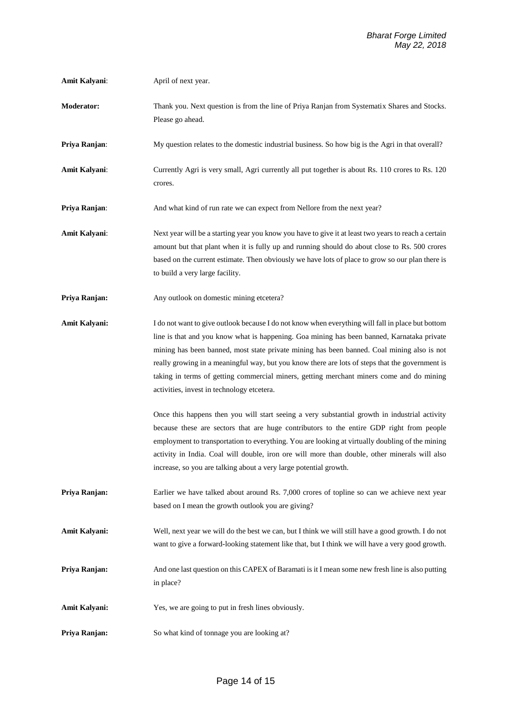- **Amit Kalyani:** April of next year.
- **Moderator:** Thank you. Next question is from the line of Priya Ranjan from Systematix Shares and Stocks. Please go ahead.
- **Priya Ranjan:** My question relates to the domestic industrial business. So how big is the Agri in that overall?
- **Amit Kalyani**: Currently Agri is very small, Agri currently all put together is about Rs. 110 crores to Rs. 120 crores.
- **Priya Ranjan:** And what kind of run rate we can expect from Nellore from the next year?
- **Amit Kalyani:** Next year will be a starting year you know you have to give it at least two years to reach a certain amount but that plant when it is fully up and running should do about close to Rs. 500 crores based on the current estimate. Then obviously we have lots of place to grow so our plan there is to build a very large facility.
- **Priya Ranjan:** Any outlook on domestic mining etcetera?
- **Amit Kalyani:** I do not want to give outlook because I do not know when everything will fall in place but bottom line is that and you know what is happening. Goa mining has been banned, Karnataka private mining has been banned, most state private mining has been banned. Coal mining also is not really growing in a meaningful way, but you know there are lots of steps that the government is taking in terms of getting commercial miners, getting merchant miners come and do mining activities, invest in technology etcetera.

Once this happens then you will start seeing a very substantial growth in industrial activity because these are sectors that are huge contributors to the entire GDP right from people employment to transportation to everything. You are looking at virtually doubling of the mining activity in India. Coal will double, iron ore will more than double, other minerals will also increase, so you are talking about a very large potential growth.

- **Priya Ranjan:** Earlier we have talked about around Rs. 7,000 crores of topline so can we achieve next year based on I mean the growth outlook you are giving?
- **Amit Kalyani:** Well, next year we will do the best we can, but I think we will still have a good growth. I do not want to give a forward-looking statement like that, but I think we will have a very good growth.
- **Priya Ranjan:** And one last question on this CAPEX of Baramati is it I mean some new fresh line is also putting in place?
- Amit Kalyani: Yes, we are going to put in fresh lines obviously.
- **Priya Ranjan:** So what kind of tonnage you are looking at?